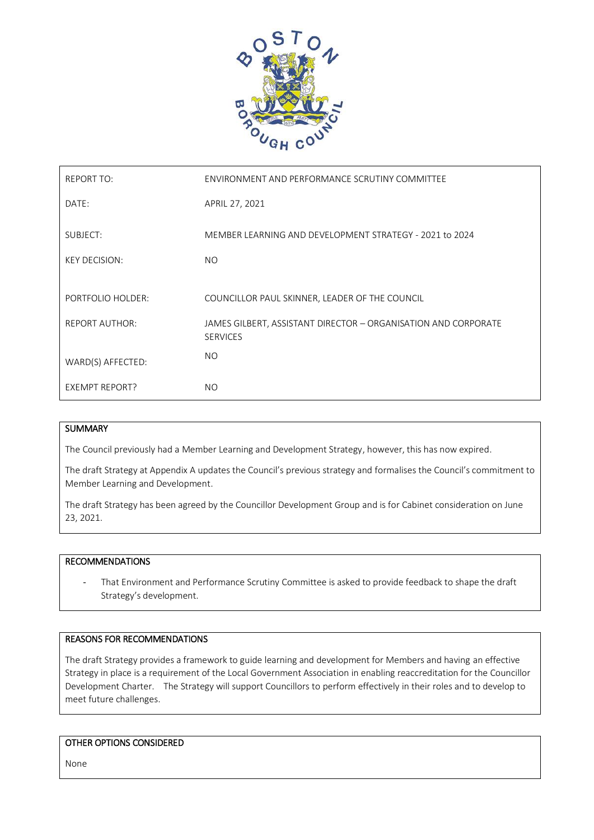

| <b>REPORT TO:</b>     | ENVIRONMENT AND PERFORMANCE SCRUTINY COMMITTEE                                    |
|-----------------------|-----------------------------------------------------------------------------------|
| DATE:                 | APRIL 27, 2021                                                                    |
| SUBJECT:              | MEMBER LEARNING AND DEVELOPMENT STRATEGY - 2021 to 2024                           |
| <b>KEY DECISION:</b>  | <b>NO</b>                                                                         |
|                       |                                                                                   |
| PORTFOLIO HOLDER:     | COUNCILLOR PAUL SKINNER, LEADER OF THE COUNCIL                                    |
| <b>REPORT AUTHOR:</b> | JAMES GILBERT, ASSISTANT DIRECTOR - ORGANISATION AND CORPORATE<br><b>SERVICES</b> |
| WARD(S) AFFECTED:     | NO.                                                                               |
| <b>EXEMPT REPORT?</b> | <b>NO</b>                                                                         |

#### **SUMMARY**

The Council previously had a Member Learning and Development Strategy, however, this has now expired.

The draft Strategy at Appendix A updates the Council's previous strategy and formalises the Council's commitment to Member Learning and Development.

The draft Strategy has been agreed by the Councillor Development Group and is for Cabinet consideration on June 23, 2021.

#### RECOMMENDATIONS

That Environment and Performance Scrutiny Committee is asked to provide feedback to shape the draft Strategy's development.

#### REASONS FOR RECOMMENDATIONS

The draft Strategy provides a framework to guide learning and development for Members and having an effective Strategy in place is a requirement of the Local Government Association in enabling reaccreditation for the Councillor Development Charter. The Strategy will support Councillors to perform effectively in their roles and to develop to meet future challenges.

#### OTHER OPTIONS CONSIDERED

None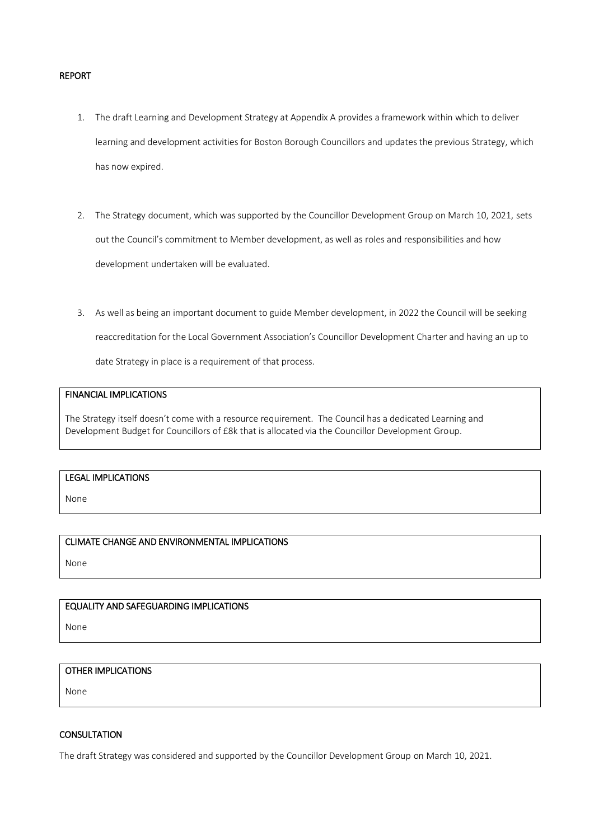#### REPORT

- 1. The draft Learning and Development Strategy at Appendix A provides a framework within which to deliver learning and development activities for Boston Borough Councillors and updates the previous Strategy, which has now expired.
- 2. The Strategy document, which was supported by the Councillor Development Group on March 10, 2021, sets out the Council's commitment to Member development, as well as roles and responsibilities and how development undertaken will be evaluated.
- 3. As well as being an important document to guide Member development, in 2022 the Council will be seeking reaccreditation for the Local Government Association's Councillor Development Charter and having an up to date Strategy in place is a requirement of that process.

#### FINANCIAL IMPLICATIONS

The Strategy itself doesn't come with a resource requirement. The Council has a dedicated Learning and Development Budget for Councillors of £8k that is allocated via the Councillor Development Group.

## LEGAL IMPLICATIONS

None

### CLIMATE CHANGE AND ENVIRONMENTAL IMPLICATIONS

None

### EQUALITY AND SAFEGUARDING IMPLICATIONS

None

### OTHER IMPLICATIONS

None

### **CONSULTATION**

The draft Strategy was considered and supported by the Councillor Development Group on March 10, 2021.